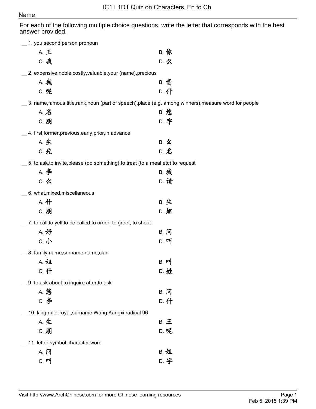## Name:

For each of the following multiple choice questions, write the letter that corresponds with the best answer provided.

| 1. you, second person pronoun                                                                         |             |
|-------------------------------------------------------------------------------------------------------|-------------|
| A. 王                                                                                                  | B. 你        |
| C. 我                                                                                                  | D. 么        |
| _ 2. expensive, noble, costly, valuable, your (name), precious                                        |             |
| A. 我                                                                                                  | B. 贵        |
| <b>C. 呢</b>                                                                                           | D. 什        |
| __ 3. name,famous,title,rank,noun (part of speech),place (e.g. among winners),measure word for people |             |
| A. $\hat{Z}$                                                                                          | <b>B. 您</b> |
| C. 朋                                                                                                  | D. 字        |
| _4. first,former,previous,early,prior,in advance                                                      |             |
| A. 生                                                                                                  | B. 么        |
| <b>C. 先</b>                                                                                           | $D.$ 名      |
| $\_$ 5. to ask, to invite, please (do something), to treat (to a meal etc), to request                |             |
| <b>A. 李</b>                                                                                           | <b>B. 我</b> |
| $C.$ $Z$                                                                                              | D. 请        |
| 6. what, mixed, miscellaneous                                                                         |             |
| A. 什                                                                                                  | B. 生        |
| C. 朋                                                                                                  | D. 姐        |
| 7. to call, to yell, to be called, to order, to greet, to shout                                       |             |
| A. 好                                                                                                  | B. 问        |
| C. 小                                                                                                  | D. 叫        |
| _8. family name, surname, name, clan                                                                  |             |
| A. 姐                                                                                                  | B. 머        |
| c. 什                                                                                                  | D. 姓        |
| _ 9. to ask about, to inquire after, to ask                                                           |             |
| <b>A. 您</b>                                                                                           | B. 问        |
| C. 李                                                                                                  | D. 什        |
| 10. king,ruler,royal,surname Wang,Kangxi radical 96                                                   |             |
| A. 生                                                                                                  | B. 王        |
| C. 朋                                                                                                  | D. 呢        |
| _ 11. letter, symbol, character, word                                                                 |             |
| A. 问                                                                                                  | <b>B. 姐</b> |
| $C.$ $\mathbf{P}$                                                                                     | D. 字        |
|                                                                                                       |             |